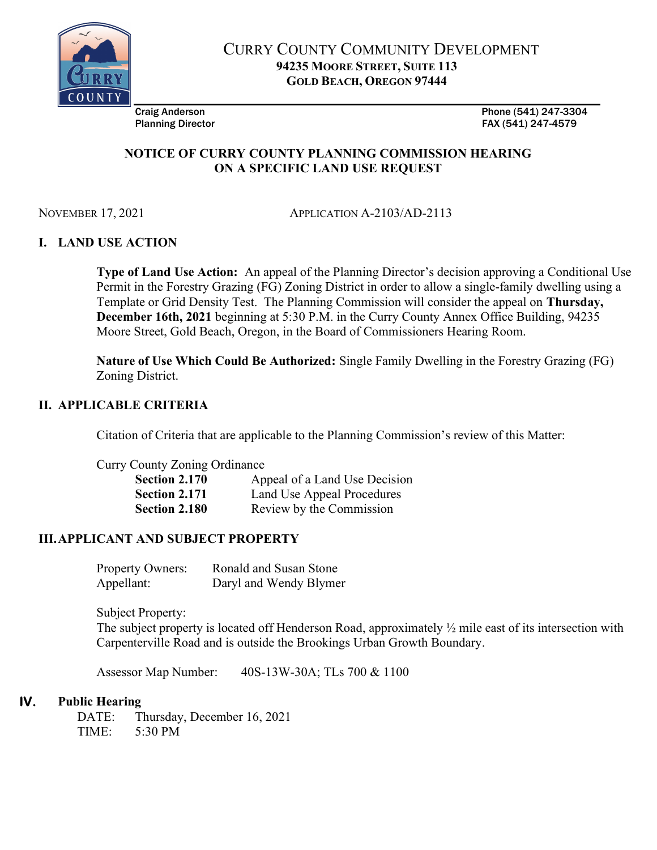

CURRY COUNTY COMMUNITY DEVELOPMENT 94235 MOORE STREET, SUITE 113 GOLD BEACH, OREGON 97444

Craig Anderson Phone (541) 247-3304 Planning Director **FAX (541)** 247-4579

# NOTICE OF CURRY COUNTY PLANNING COMMISSION HEARING ON A SPECIFIC LAND USE REQUEST

NOVEMBER 17, 2021 APPLICATION A-2103/AD-2113

# I. LAND USE ACTION

Type of Land Use Action: An appeal of the Planning Director's decision approving a Conditional Use Permit in the Forestry Grazing (FG) Zoning District in order to allow a single-family dwelling using a Template or Grid Density Test. The Planning Commission will consider the appeal on Thursday, December 16th, 2021 beginning at 5:30 P.M. in the Curry County Annex Office Building, 94235 Moore Street, Gold Beach, Oregon, in the Board of Commissioners Hearing Room.

Nature of Use Which Could Be Authorized: Single Family Dwelling in the Forestry Grazing (FG) Zoning District.

## II. APPLICABLE CRITERIA

Citation of Criteria that are applicable to the Planning Commission's review of this Matter:

Curry County Zoning Ordinance

| Section 2.170        | Appeal of a Land Use Decision |
|----------------------|-------------------------------|
| <b>Section 2.171</b> | Land Use Appeal Procedures    |
| Section 2.180        | Review by the Commission      |

## III.APPLICANT AND SUBJECT PROPERTY

| <b>Property Owners:</b> | Ronald and Susan Stone |
|-------------------------|------------------------|
| Appellant:              | Daryl and Wendy Blymer |

Subject Property:

The subject property is located off Henderson Road, approximately ½ mile east of its intersection with Carpenterville Road and is outside the Brookings Urban Growth Boundary.

Assessor Map Number: 40S-13W-30A; TLs 700 & 1100

## IV. Public Hearing

DATE: Thursday, December 16, 2021 TIME: 5:30 PM